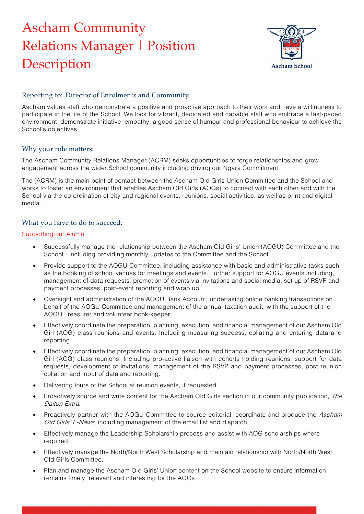# Ascham Community Relations Manager | Position **Description**



## Reporting to: Director of Enrolments and Community

Ascham values staff who demonstrate a positive and proactive approach to their work and have a willingness to participate in the life of the School. We look for vibrant, dedicated and capable staff who embrace a fast-paced environment, demonstrate initiative, empathy, a good sense of humour and professional behaviour to achieve the School's objectives.

#### Why your role matters:

The Ascham Community Relations Manager (ACRM) seeks opportunities to forge relationships and grow engagement across the wider School community including driving our Ngara Commitment.

The (ACRM) is the main point of contact between the Ascham Old Girls Union Committee and the School and works to foster an environment that enables Ascham Old Girls (AOGs) to connect with each other and with the School via the co-ordination of city and regional events, reunions, social activities, as well as print and digital media.

#### What you have to do to succeed:

#### Supporting our Alumni

- Successfully manage the relationship between the Ascham Old Girls' Union (AOGU) Committee and the School - including providing monthly updates to the Committee and the School.
- Provide support to the AOGU Committee, including assistance with basic and administrative tasks such as the booking of school venues for meetings and events. Further support for AOGU events including, management of data requests, promotion of events via invitations and social media, set up of RSVP and payment processes, post-event reporting and wrap up.
- Oversight and administration of the AOGU Bank Account, undertaking online banking transactions on behalf of the AOGU Committee and management of the annual taxation audit, with the support of the AOGU Treasurer and volunteer book-keeper.
- Effectively coordinate the preparation, planning, execution, and financial management of our Ascham Old Girl (AOG) class reunions and events. Including measuring success, collating and entering data and reporting.
- Effectively coordinate the preparation, planning, execution, and financial management of our Ascham Old Girl (AOG) class reunions. Including pro-active liaison with cohorts holding reunions, support for data requests, development of invitations, management of the RSVP and payment processes, post reunion collation and input of data and reporting.
- Delivering tours of the School at reunion events, if requested
- Proactively source and write content for the Ascham Old Girls section in our community publication, The Dalton Extra.
- Proactively partner with the AOGU Committee to source editorial, coordinate and produce the Ascham Old Girls' E-News, including management of the email list and dispatch.
- Effectively manage the Leadership Scholarship process and assist with AOG scholarships where required.
- Effectively manage the North/North West Scholarship and maintain relationship with North/North West Old Girls Committee.
- Plan and manage the Ascham Old Girls' Union content on the School website to ensure information remains timely, relevant and interesting for the AOGs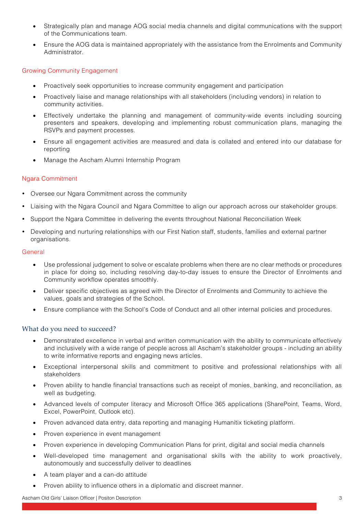- Strategically plan and manage AOG social media channels and digital communications with the support of the Communications team.
- Ensure the AOG data is maintained appropriately with the assistance from the Enrolments and Community Administrator.

### Growing Community Engagement

- Proactively seek opportunities to increase community engagement and participation
- Proactively liaise and manage relationships with all stakeholders (including vendors) in relation to community activities.
- Effectively undertake the planning and management of community-wide events including sourcing presenters and speakers, developing and implementing robust communication plans, managing the RSVPs and payment processes.
- Ensure all engagement activities are measured and data is collated and entered into our database for reporting
- Manage the Ascham Alumni Internship Program

#### Ngara Commitment

- Oversee our Ngara Commitment across the community
- Liaising with the Ngara Council and Ngara Committee to align our approach across our stakeholder groups.
- Support the Ngara Committee in delivering the events throughout National Reconciliation Week
- Developing and nurturing relationships with our First Nation staff, students, families and external partner organisations.

#### **General**

- Use professional judgement to solve or escalate problems when there are no clear methods or procedures in place for doing so, including resolving day-to-day issues to ensure the Director of Enrolments and Community workflow operates smoothly.
- Deliver specific objectives as agreed with the Director of Enrolments and Community to achieve the values, goals and strategies of the School.
- Ensure compliance with the School's Code of Conduct and all other internal policies and procedures.

#### What do you need to succeed?

- Demonstrated excellence in verbal and written communication with the ability to communicate effectively and inclusively with a wide range of people across all Ascham's stakeholder groups - including an ability to write informative reports and engaging news articles.
- Exceptional interpersonal skills and commitment to positive and professional relationships with all stakeholders
- Proven ability to handle financial transactions such as receipt of monies, banking, and reconciliation, as well as budgeting.
- Advanced levels of computer literacy and Microsoft Office 365 applications (SharePoint, Teams, Word, Excel, PowerPoint, Outlook etc).
- Proven advanced data entry, data reporting and managing Humanitix ticketing platform.
- Proven experience in event management
- Proven experience in developing Communication Plans for print, digital and social media channels
- Well-developed time management and organisational skills with the ability to work proactively, autonomously and successfully deliver to deadlines
- A team player and a can-do attitude
- Proven ability to influence others in a diplomatic and discreet manner.